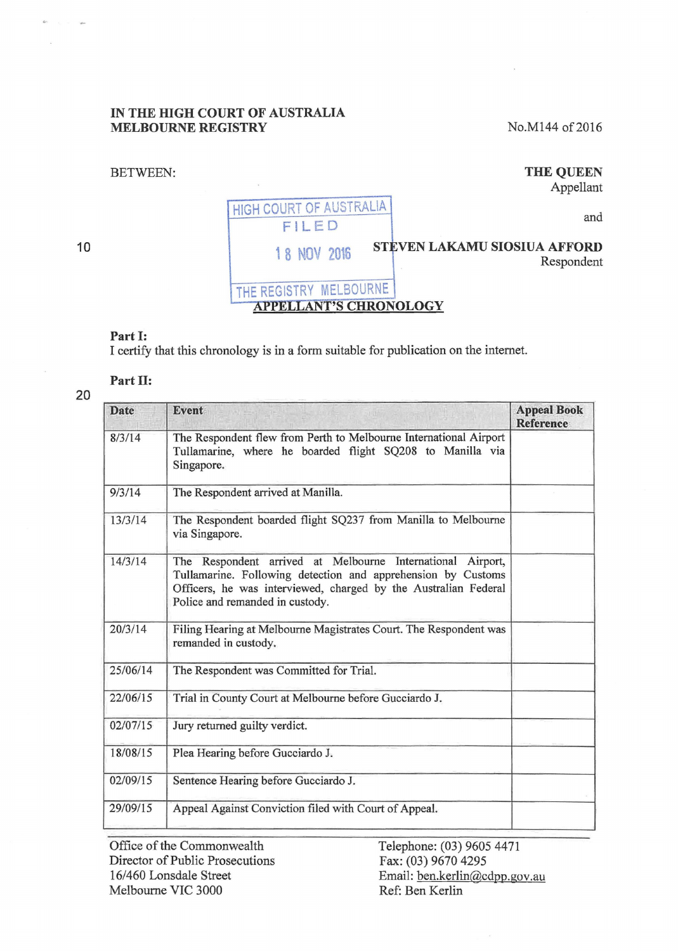#### IN THE HIGH COURT OF AUSTRALIA MELBOURNE REGISTRY

No.M144 of 2016

# BETWEEN:

### THE QUEEN Appellant

10

# HIGH COURT OF AUSTRALIA FILED and 18 NOV 2016 STEVEN LAKAMU SIOSIUA AFFORD Respondent THE REGISTRY MELBOURNE APPELLANT'S CHRONOLOGY

## Part I:

I certify that this chronology is in a form suitable for publication on the intemet.

## Part II:

| Date     | Event                                                                                                                                                                                                                            | <b>Appeal Book</b><br><b>Reference</b> |
|----------|----------------------------------------------------------------------------------------------------------------------------------------------------------------------------------------------------------------------------------|----------------------------------------|
| 8/3/14   | The Respondent flew from Perth to Melbourne International Airport<br>Tullamarine, where he boarded flight SQ208 to Manilla via<br>Singapore.                                                                                     |                                        |
| 9/3/14   | The Respondent arrived at Manilla.                                                                                                                                                                                               |                                        |
| 13/3/14  | The Respondent boarded flight SQ237 from Manilla to Melbourne<br>via Singapore.                                                                                                                                                  |                                        |
| 14/3/14  | The Respondent arrived at Melbourne International Airport,<br>Tullamarine. Following detection and apprehension by Customs<br>Officers, he was interviewed, charged by the Australian Federal<br>Police and remanded in custody. |                                        |
| 20/3/14  | Filing Hearing at Melbourne Magistrates Court. The Respondent was<br>remanded in custody.                                                                                                                                        |                                        |
| 25/06/14 | The Respondent was Committed for Trial.                                                                                                                                                                                          |                                        |
| 22/06/15 | Trial in County Court at Melbourne before Gucciardo J.                                                                                                                                                                           |                                        |
| 02/07/15 | Jury returned guilty verdict.                                                                                                                                                                                                    |                                        |
| 18/08/15 | Plea Hearing before Gucciardo J.                                                                                                                                                                                                 |                                        |
| 02/09/15 | Sentence Hearing before Gucciardo J.                                                                                                                                                                                             |                                        |
| 29/09/15 | Appeal Against Conviction filed with Court of Appeal.                                                                                                                                                                            |                                        |

Office of the Commonwealth Director of Public Prosecutions 16/460 Lonsdale Street Melbourne VIC 3000

Telephone: (03) 9605 4471 Fax: (03) 9670 4295 Email: ben.kerlin@cdpp.gov .au Ref: Ben Kerlin